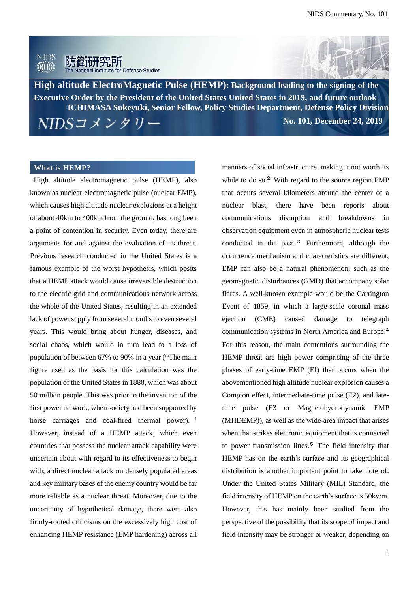



**High altitude ElectroMagnetic Pulse (HEMP): Background leading to the signing of the Executive Order by the President of the United States United States in 2019, and future outlook ―**ロシアの条約違反問題と米国の対応**― No. 101, December 24, 2019 ICHIMASA Sukeyuki, Senior Fellow, Policy Studies Department, Defense Policy Division**

#### **What is HEMP?**

High altitude electromagnetic pulse (HEMP), also known as nuclear electromagnetic pulse (nuclear EMP), which causes high altitude nuclear explosions at a height of about 40km to 400km from the ground, has long been a point of contention in security. Even today, there are arguments for and against the evaluation of its threat. Previous research conducted in the United States is a famous example of the worst hypothesis, which posits that a HEMP attack would cause irreversible destruction to the electric grid and communications network across the whole of the United States, resulting in an extended lack of power supply from several months to even several years. This would bring about hunger, diseases, and social chaos, which would in turn lead to a loss of population of between 67% to 90% in a year (\*The main figure used as the basis for this calculation was the population of the United States in 1880, which was about 50 million people. This was prior to the invention of the first power network, when society had been supported by horse carriages and coal-fired thermal power).<sup>1</sup> However, instead of a HEMP attack, which even countries that possess the nuclear attack capability were uncertain about with regard to its effectiveness to begin with, a direct nuclear attack on densely populated areas and key military bases of the enemy country would be far more reliable as a nuclear threat. Moreover, due to the uncertainty of hypothetical damage, there were also firmly-rooted criticisms on the excessively high cost of enhancing HEMP resistance (EMP hardening) across all

while to do so.<sup>2</sup> With regard to the source region EMP that occurs several kilometers around the center of a nuclear blast, there have been reports about communications disruption and breakdowns in observation equipment even in atmospheric nuclear tests conducted in the past. <sup>3</sup> Furthermore, although the occurrence mechanism and characteristics are different, EMP can also be a natural phenomenon, such as the geomagnetic disturbances (GMD) that accompany solar flares. A well-known example would be the Carrington Event of 1859, in which a large-scale coronal mass ejection (CME) caused damage to telegraph communication systems in North America and Europe.<sup>4</sup> For this reason, the main contentions surrounding the HEMP threat are high power comprising of the three phases of early-time EMP (EI) that occurs when the abovementioned high altitude nuclear explosion causes a Compton effect, intermediate-time pulse (E2), and latetime pulse (E3 or Magnetohydrodynamic EMP (MHDEMP)), as well as the wide-area impact that arises when that strikes electronic equipment that is connected to power transmission lines.<sup>5</sup> The field intensity that HEMP has on the earth's surface and its geographical distribution is another important point to take note of. Under the United States Military (MIL) Standard, the field intensity of HEMP on the earth's surface is 50kv/m. However, this has mainly been studied from the perspective of the possibility that its scope of impact and field intensity may be stronger or weaker, depending on

manners of social infrastructure, making it not worth its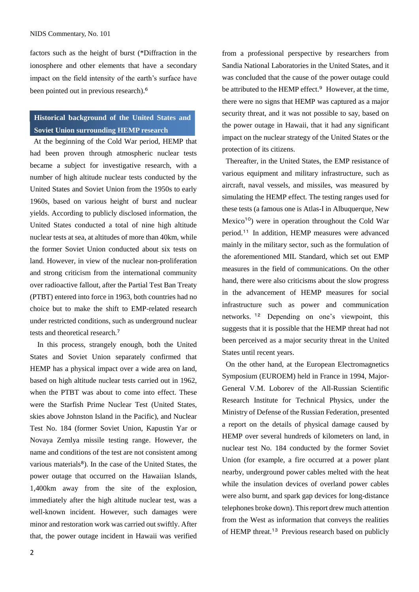#### NIDS Commentary, No. 101

factors such as the height of burst (\*Diffraction in the ionosphere and other elements that have a secondary impact on the field intensity of the earth's surface have been pointed out in previous research). 6

## **Historical background of the United States and Soviet Union surrounding HEMP research**

At the beginning of the Cold War period, HEMP that had been proven through atmospheric nuclear tests became a subject for investigative research, with a number of high altitude nuclear tests conducted by the United States and Soviet Union from the 1950s to early 1960s, based on various height of burst and nuclear yields. According to publicly disclosed information, the United States conducted a total of nine high altitude nuclear tests at sea, at altitudes of more than 40km, while the former Soviet Union conducted about six tests on land. However, in view of the nuclear non-proliferation and strong criticism from the international community over radioactive fallout, after the Partial Test Ban Treaty (PTBT) entered into force in 1963, both countries had no choice but to make the shift to EMP-related research under restricted conditions, such as underground nuclear tests and theoretical research. 7

In this process, strangely enough, both the United States and Soviet Union separately confirmed that HEMP has a physical impact over a wide area on land, based on high altitude nuclear tests carried out in 1962, when the PTBT was about to come into effect. These were the Starfish Prime Nuclear Test (United States, skies above Johnston Island in the Pacific), and Nuclear Test No. 184 (former Soviet Union, Kapustin Yar or Novaya Zemlya missile testing range. However, the name and conditions of the test are not consistent among various materials<sup>8</sup>). In the case of the United States, the power outage that occurred on the Hawaiian Islands, 1,400km away from the site of the explosion, immediately after the high altitude nuclear test, was a well-known incident. However, such damages were minor and restoration work was carried out swiftly. After that, the power outage incident in Hawaii was verified from a professional perspective by researchers from Sandia National Laboratories in the United States, and it was concluded that the cause of the power outage could be attributed to the HEMP effect.<sup>9</sup> However, at the time, there were no signs that HEMP was captured as a major security threat, and it was not possible to say, based on the power outage in Hawaii, that it had any significant impact on the nuclear strategy of the United States or the protection of its citizens.

Thereafter, in the United States, the EMP resistance of various equipment and military infrastructure, such as aircraft, naval vessels, and missiles, was measured by simulating the HEMP effect. The testing ranges used for these tests (a famous one is Atlas-I in Albuquerque, New Mexico<sup>10</sup>) were in operation throughout the Cold War period. <sup>11</sup> In addition, HEMP measures were advanced mainly in the military sector, such as the formulation of the aforementioned MIL Standard, which set out EMP measures in the field of communications. On the other hand, there were also criticisms about the slow progress in the advancement of HEMP measures for social infrastructure such as power and communication networks. <sup>12</sup> Depending on one's viewpoint, this suggests that it is possible that the HEMP threat had not been perceived as a major security threat in the United States until recent years.

On the other hand, at the European Electromagnetics Symposium (EUROEM) held in France in 1994, Major-General V.M. Loborev of the All-Russian Scientific Research Institute for Technical Physics, under the Ministry of Defense of the Russian Federation, presented a report on the details of physical damage caused by HEMP over several hundreds of kilometers on land, in nuclear test No. 184 conducted by the former Soviet Union (for example, a fire occurred at a power plant nearby, underground power cables melted with the heat while the insulation devices of overland power cables were also burnt, and spark gap devices for long-distance telephones broke down). This report drew much attention from the West as information that conveys the realities of HEMP threat.<sup>13</sup> Previous research based on publicly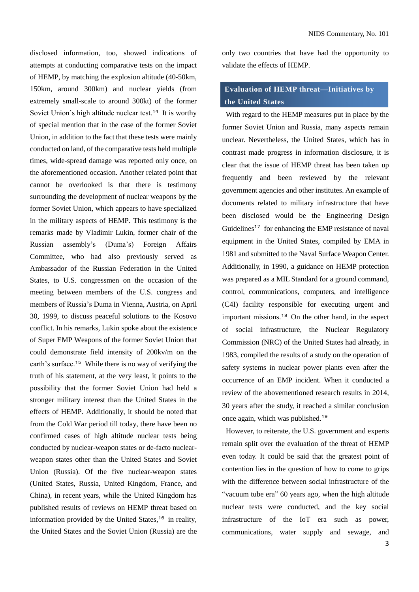disclosed information, too, showed indications of attempts at conducting comparative tests on the impact of HEMP, by matching the explosion altitude (40-50km, 150km, around 300km) and nuclear yields (from extremely small-scale to around 300kt) of the former Soviet Union's high altitude nuclear test.<sup>14</sup> It is worthy of special mention that in the case of the former Soviet Union, in addition to the fact that these tests were mainly conducted on land, of the comparative tests held multiple times, wide-spread damage was reported only once, on the aforementioned occasion. Another related point that cannot be overlooked is that there is testimony surrounding the development of nuclear weapons by the former Soviet Union, which appears to have specialized in the military aspects of HEMP. This testimony is the remarks made by Vladimir Lukin, former chair of the Russian assembly's (Duma's) Foreign Affairs Committee, who had also previously served as Ambassador of the Russian Federation in the United States, to U.S. congressmen on the occasion of the meeting between members of the U.S. congress and members of Russia's Duma in Vienna, Austria, on April 30, 1999, to discuss peaceful solutions to the Kosovo conflict. In his remarks, Lukin spoke about the existence of Super EMP Weapons of the former Soviet Union that could demonstrate field intensity of 200kv/m on the earth's surface.<sup>15</sup> While there is no way of verifying the truth of his statement, at the very least, it points to the possibility that the former Soviet Union had held a stronger military interest than the United States in the effects of HEMP. Additionally, it should be noted that from the Cold War period till today, there have been no confirmed cases of high altitude nuclear tests being conducted by nuclear-weapon states or de-facto nuclearweapon states other than the United States and Soviet Union (Russia). Of the five nuclear-weapon states (United States, Russia, United Kingdom, France, and China), in recent years, while the United Kingdom has published results of reviews on HEMP threat based on information provided by the United States, <sup>16</sup> in reality, the United States and the Soviet Union (Russia) are the only two countries that have had the opportunity to validate the effects of HEMP.

### **Evaluation of HEMP threat—Initiatives by the United States**

With regard to the HEMP measures put in place by the former Soviet Union and Russia, many aspects remain unclear. Nevertheless, the United States, which has in contrast made progress in information disclosure, it is clear that the issue of HEMP threat has been taken up frequently and been reviewed by the relevant government agencies and other institutes. An example of documents related to military infrastructure that have been disclosed would be the Engineering Design Guidelines <sup>17</sup> for enhancing the EMP resistance of naval equipment in the United States, compiled by EMA in 1981 and submitted to the Naval Surface Weapon Center. Additionally, in 1990, a guidance on HEMP protection was prepared as a MIL Standard for a ground command, control, communications, computers, and intelligence (C4I) facility responsible for executing urgent and important missions.<sup>18</sup> On the other hand, in the aspect of social infrastructure, the Nuclear Regulatory Commission (NRC) of the United States had already, in 1983, compiled the results of a study on the operation of safety systems in nuclear power plants even after the occurrence of an EMP incident. When it conducted a review of the abovementioned research results in 2014, 30 years after the study, it reached a similar conclusion once again, which was published.<sup>19</sup>

However, to reiterate, the U.S. government and experts remain split over the evaluation of the threat of HEMP even today. It could be said that the greatest point of contention lies in the question of how to come to grips with the difference between social infrastructure of the "vacuum tube era" 60 years ago, when the high altitude nuclear tests were conducted, and the key social infrastructure of the IoT era such as power, communications, water supply and sewage, and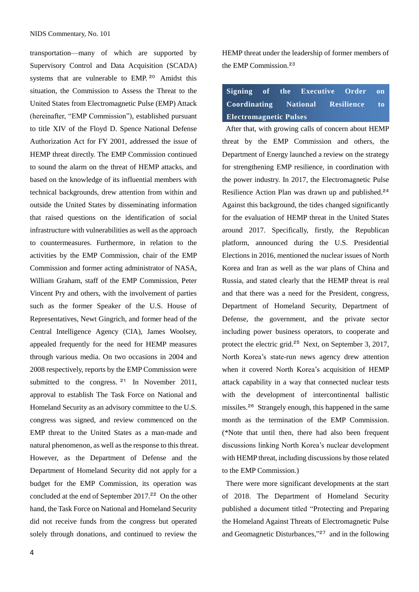transportation—many of which are supported by Supervisory Control and Data Acquisition (SCADA) systems that are vulnerable to EMP.<sup>20</sup> Amidst this situation, the Commission to Assess the Threat to the United States from Electromagnetic Pulse (EMP) Attack (hereinafter, "EMP Commission"), established pursuant to title XIV of the Floyd D. Spence National Defense Authorization Act for FY 2001, addressed the issue of HEMP threat directly. The EMP Commission continued to sound the alarm on the threat of HEMP attacks, and based on the knowledge of its influential members with technical backgrounds, drew attention from within and outside the United States by disseminating information that raised questions on the identification of social infrastructure with vulnerabilities as well as the approach to countermeasures. Furthermore, in relation to the activities by the EMP Commission, chair of the EMP Commission and former acting administrator of NASA, William Graham, staff of the EMP Commission, Peter Vincent Pry and others, with the involvement of parties such as the former Speaker of the U.S. House of Representatives, Newt Gingrich, and former head of the Central Intelligence Agency (CIA), James Woolsey, appealed frequently for the need for HEMP measures through various media. On two occasions in 2004 and 2008 respectively, reports by the EMP Commission were submitted to the congress.  $21$  In November 2011, approval to establish The Task Force on National and Homeland Security as an advisory committee to the U.S. congress was signed, and review commenced on the EMP threat to the United States as a man-made and natural phenomenon, as well as the response to this threat. However, as the Department of Defense and the Department of Homeland Security did not apply for a budget for the EMP Commission, its operation was concluded at the end of September 2017.<sup>22</sup> On the other hand, the Task Force on National and Homeland Security did not receive funds from the congress but operated solely through donations, and continued to review the

HEMP threat under the leadership of former members of the EMP Commission.<sup>23</sup>

# **Signing of the Executive Order on Coordinating National Resilience to Electromagnetic Pulses**

After that, with growing calls of concern about HEMP threat by the EMP Commission and others, the Department of Energy launched a review on the strategy for strengthening EMP resilience, in coordination with the power industry. In 2017, the Electromagnetic Pulse Resilience Action Plan was drawn up and published.<sup>24</sup> Against this background, the tides changed significantly for the evaluation of HEMP threat in the United States around 2017. Specifically, firstly, the Republican platform, announced during the U.S. Presidential Elections in 2016, mentioned the nuclear issues of North Korea and Iran as well as the war plans of China and Russia, and stated clearly that the HEMP threat is real and that there was a need for the President, congress, Department of Homeland Security, Department of Defense, the government, and the private sector including power business operators, to cooperate and protect the electric grid.<sup>25</sup> Next, on September 3, 2017, North Korea's state-run news agency drew attention when it covered North Korea's acquisition of HEMP attack capability in a way that connected nuclear tests with the development of intercontinental ballistic missiles.<sup>26</sup> Strangely enough, this happened in the same month as the termination of the EMP Commission. (\*Note that until then, there had also been frequent discussions linking North Korea's nuclear development with HEMP threat, including discussions by those related to the EMP Commission.)

There were more significant developments at the start of 2018. The Department of Homeland Security published a document titled "Protecting and Preparing the Homeland Against Threats of Electromagnetic Pulse and Geomagnetic Disturbances,"<sup>27</sup> and in the following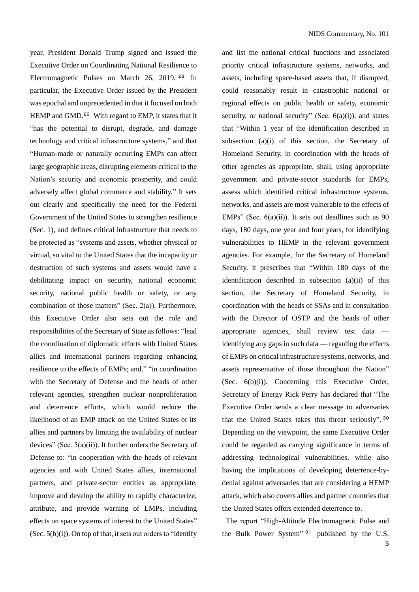year, President Donald Trump signed and issued the Executive Order on Coordinating National Resilience to Electromagnetic Pulses on March 26, 2019. <sup>28</sup> In particular, the Executive Order issued by the President was epochal and unprecedented in that it focused on both HEMP and GMD.<sup>29</sup> With regard to EMP, it states that it "has the potential to disrupt, degrade, and damage technology and critical infrastructure systems," and that "Human-made or naturally occurring EMPs can affect large geographic areas, disrupting elements critical to the Nation's security and economic prosperity, and could adversely affect global commerce and stability." It sets out clearly and specifically the need for the Federal Government of the United States to strengthen resilience (Sec. 1), and defines critical infrastructure that needs to be protected as "systems and assets, whether physical or virtual, so vital to the United States that the incapacity or destruction of such systems and assets would have a debilitating impact on security, national economic security, national public health or safety, or any combination of those matters" (Sec. 2(a)). Furthermore, this Executive Order also sets out the role and responsibilities of the Secretary of State as follows: "lead the coordination of diplomatic efforts with United States allies and international partners regarding enhancing resilience to the effects of EMPs; and," "in coordination with the Secretary of Defense and the heads of other relevant agencies, strengthen nuclear nonproliferation and deterrence efforts, which would reduce the likelihood of an EMP attack on the United States or its allies and partners by limiting the availability of nuclear devices" (Sec. 5(a)(ii)). It further orders the Secretary of Defense to: "in cooperation with the heads of relevant agencies and with United States allies, international partners, and private-sector entities as appropriate, improve and develop the ability to rapidly characterize, attribute, and provide warning of EMPs, including effects on space systems of interest to the United States" (Sec.  $5(b)(i)$ ). On top of that, it sets out orders to "identify"

and list the national critical functions and associated priority critical infrastructure systems, networks, and assets, including space-based assets that, if disrupted, could reasonably result in catastrophic national or regional effects on public health or safety, economic security, or national security" (Sec.  $6(a)(i)$ ), and states that "Within 1 year of the identification described in subsection (a)(i) of this section, the Secretary of Homeland Security, in coordination with the heads of other agencies as appropriate, shall, using appropriate government and private-sector standards for EMPs, assess which identified critical infrastructure systems, networks, and assets are most vulnerable to the effects of EMPs" (Sec.  $6(a)(ii)$ ). It sets out deadlines such as 90 days, 180 days, one year and four years, for identifying vulnerabilities to HEMP in the relevant government agencies. For example, for the Secretary of Homeland Security, it prescribes that "Within 180 days of the identification described in subsection (a)(ii) of this section, the Secretary of Homeland Security, in coordination with the heads of SSAs and in consultation with the Director of OSTP and the heads of other appropriate agencies, shall review test data identifying any gaps in such data — regarding the effects of EMPs on critical infrastructure systems, networks, and assets representative of those throughout the Nation" (Sec. 6(b)(i)). Concerning this Executive Order, Secretary of Energy Rick Perry has declared that "The Executive Order sends a clear message to adversaries that the United States takes this threat seriously". 30 Depending on the viewpoint, the same Executive Order could be regarded as carrying significance in terms of addressing technological vulnerabilities, while also having the implications of developing deterrence-bydenial against adversaries that are considering a HEMP attack, which also covers allies and partner countries that the United States offers extended deterrence to.

The report "High-Altitude Electromagnetic Pulse and the Bulk Power System" <sup>31</sup> published by the U.S.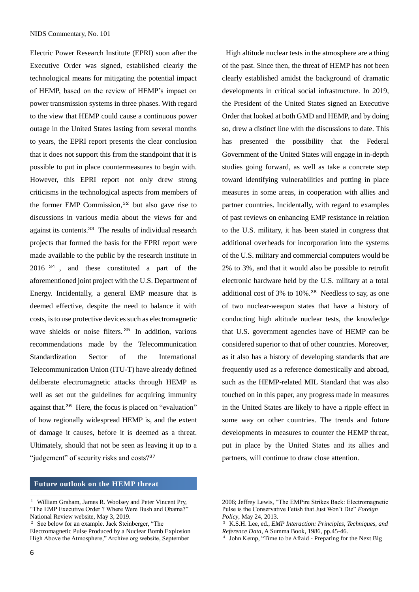Electric Power Research Institute (EPRI) soon after the Executive Order was signed, established clearly the technological means for mitigating the potential impact of HEMP, based on the review of HEMP's impact on power transmission systems in three phases. With regard to the view that HEMP could cause a continuous power outage in the United States lasting from several months to years, the EPRI report presents the clear conclusion that it does not support this from the standpoint that it is possible to put in place countermeasures to begin with. However, this EPRI report not only drew strong criticisms in the technological aspects from members of the former EMP Commission, $32$  but also gave rise to discussions in various media about the views for and against its contents.<sup>33</sup> The results of individual research projects that formed the basis for the EPRI report were made available to the public by the research institute in 2016<sup>34</sup>, and these constituted a part of the aforementioned joint project with the U.S. Department of Energy. Incidentally, a general EMP measure that is deemed effective, despite the need to balance it with costs, is to use protective devices such as electromagnetic wave shields or noise filters. <sup>35</sup> In addition, various recommendations made by the Telecommunication Standardization Sector of the International Telecommunication Union (ITU-T) have already defined deliberate electromagnetic attacks through HEMP as well as set out the guidelines for acquiring immunity against that.<sup>36</sup> Here, the focus is placed on "evaluation" of how regionally widespread HEMP is, and the extent of damage it causes, before it is deemed as a threat. Ultimately, should that not be seen as leaving it up to a "judgement" of security risks and costs?<sup>37</sup>

### **Future outlook on the HEMP threat**

 $\overline{a}$ 

High altitude nuclear tests in the atmosphere are a thing of the past. Since then, the threat of HEMP has not been clearly established amidst the background of dramatic developments in critical social infrastructure. In 2019, the President of the United States signed an Executive Order that looked at both GMD and HEMP, and by doing so, drew a distinct line with the discussions to date. This has presented the possibility that the Federal Government of the United States will engage in in-depth studies going forward, as well as take a concrete step toward identifying vulnerabilities and putting in place measures in some areas, in cooperation with allies and partner countries. Incidentally, with regard to examples of past reviews on enhancing EMP resistance in relation to the U.S. military, it has been stated in congress that additional overheads for incorporation into the systems of the U.S. military and commercial computers would be 2% to 3%, and that it would also be possible to retrofit electronic hardware held by the U.S. military at a total additional cost of 3% to 10%.<sup>38</sup> Needless to say, as one of two nuclear-weapon states that have a history of conducting high altitude nuclear tests, the knowledge that U.S. government agencies have of HEMP can be considered superior to that of other countries. Moreover, as it also has a history of developing standards that are frequently used as a reference domestically and abroad, such as the HEMP-related MIL Standard that was also touched on in this paper, any progress made in measures in the United States are likely to have a ripple effect in some way on other countries. The trends and future developments in measures to counter the HEMP threat, put in place by the United States and its allies and partners, will continue to draw close attention.

<sup>&</sup>lt;sup>1</sup> William Graham, James R. Woolsey and Peter Vincent Pry, "The EMP Executive Order ? Where Were Bush and Obama?" National Review website, May 3, 2019.

<sup>2</sup> See below for an example. Jack Steinberger, "The

Electromagnetic Pulse Produced by a Nuclear Bomb Explosion High Above the Atmosphere," Archive.org website, September

<sup>2006;</sup> Jeffrey Lewis, "The EMPire Strikes Back: Electromagnetic Pulse is the Conservative Fetish that Just Won't Die" *Foreign Policy*, May 24, 2013.

<sup>3</sup> K.S.H. Lee, ed., *EMP Interaction: Principles, Techniques, and Reference Data*, A Summa Book, 1986, pp.45-46.

<sup>4</sup> John Kemp, "Time to be Afraid - Preparing for the Next Big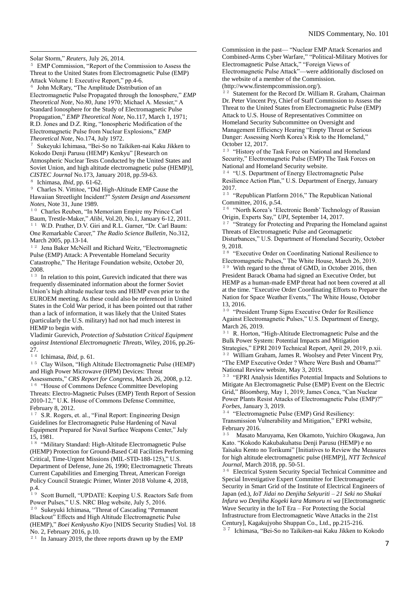Solar Storm," *Reuters*, July 26, 2014.

<sup>5</sup> EMP Commission, "Report of the Commission to Assess the Threat to the United States from Electromagnetic Pulse (EMP) Attack Volume I: Executive Report," pp.4-6. John McRary, "The Amplitude Distribution of an Electromagnetic Pulse Propagated through the Ionosphere," *EMP Theoretical Note*, No.80, June 1970; Michael A. Messier," A Standard Ionosphere for the Study of Electromagnetic Pulse Propagation," *EMP Theoretical Note*, No.117, March 1, 1971; R.D. Jones and D.Z. Ring, "Ionospheric Modification of the Electromagnetic Pulse from Nuclear Explosions," *EMP Theoretical Note*, No.174, July 1972.

<sup>7</sup> Sukeyuki Ichimasa, "Bei-So no Taikiken-nai Kaku Jikken to Kokodo Denji Parusu (HEMP) Kenkyu" [Research on Atmospheric Nuclear Tests Conducted by the United States and Soviet Union, and high altitude electromagnetic pulse (HEMP)], *CISTEC Journal* No.173, January 2018, pp.59-63.

<sup>8</sup> Ichimasa, *Ibid*, pp. 61-62.<br><sup>9</sup> Charles N. Vittitoe "Did l

<sup>9</sup> Charles N. Vittitoe, "Did High-Altitude EMP Cause the Hawaiian Streetlight Incident?" *System Design and Assessment Notes*, Note 31, June 1989.

<sup>10</sup> Charles Reuben, "In Memoriam Empire my Prince Carl Baum, Trestle-Maker," *Alibi*, Vol.20, No.1, January 6-12, 2011. <sup>11</sup> W.D. Prather, D.V. Giri and R.L. Garner, "Dr. Carl Baum: One Remarkable Career," *The Radio Science Bulletin*, No.312, March 2005, pp.13-14.

<sup>12</sup> Jena Baker McNeill and Richard Weitz, "Electromagnetic Pulse (EMP) Attack: A Preventable Homeland Security Catastrophe," The Heritage Foundation website, October 20, 2008.

<sup>13</sup> In relation to this point, Gurevich indicated that there was frequently disseminated information about the former Soviet Union's high altitude nuclear tests and HEMP even prior to the EUROEM meeting. As these could also be referenced in United States in the Cold War period, it has been pointed out that rather than a lack of information, it was likely that the United States (particularly the U.S. military) had not had much interest in HEMP to begin with.

Vladimir Gurevich, *Protection of Substation Critical Equipment against Intentional Electromagnetic Threats*, Wiley, 2016, pp.26- 27.

<sup>14</sup> Ichimasa, *Ibid*, p. 61.

<sup>15</sup> Clay Wilson, "High Altitude Electromagnetic Pulse (HEMP) and High Power Microwave (HPM) Devices: Threat Assessments," *CRS Report for Congress*, March 26, 2008, p.12. <sup>16</sup> "House of Commons Defence Committee Developing Threats: Electro-Magnetic Pulses (EMP) Tenth Report of Session 2010-12," U.K. House of Commons Defense Committee,

February 8, 2012. <sup>17</sup> S.R. Rogers, et. al., "Final Report: Engineering Design Guidelines for Electromagnetic Pulse Hardening of Naval Equipment Prepared for Naval Surface Weapons Center," July

15, 1981. <sup>18</sup> "Military Standard: High-Altitude Electromagnetic Pulse (HEMP) Protection for Ground-Based C4I Facilities Performing Critical, Time-Urgent Missions (MIL-STD-188-125)," U.S. Department of Defense, June 26, 1990; Electromagnetic Threats Current Capabilities and Emerging Threat, American Foreign Policy Council Strategic Primer, Winter 2018 Volume 4, 2018, p.4.

<sup>19</sup> Scott Burnell, "UPDATE: Keeping U.S. Reactors Safe from Power Pulses," U.S. NRC Blog website, July 5, 2016. <sup>20</sup> Sukeyuki Ichimasa, "Threat of Cascading "Permanent Blackout" Effects and High Altitude Electromagnetic Pulse (HEMP)," *Boei Kenkyusho Kiyo* [NIDS Security Studies] Vol. 18 No. 2, February 2016, p.10.

 $2<sup>1</sup>$  In January 2019, the three reports drawn up by the EMP

Commission in the past— "Nuclear EMP Attack Scenarios and Combined-Arms Cyber Warfare," "Political-Military Motives for Electromagnetic Pulse Attack," "Foreign Views of Electromagnetic Pulse Attack"—were additionally disclosed on the website of a member of the Commission. (http://www.firstempcommission.org/).

<sup>22</sup> Statement for the Record Dr. William R. Graham, Chairman Dr. Peter Vincent Pry, Chief of Staff Commission to Assess the Threat to the United States from Electromagnetic Pulse (EMP) Attack to U.S. House of Representatives Committee on Homeland Security Subcommittee on Oversight and Management Efficiency Hearing "Empty Threat or Serious Danger: Assessing North Korea's Risk to the Homeland," October 12, 2017.

<sup>23</sup> "History of the Task Force on National and Homeland Security," Electromagnetic Pulse (EMP) The Task Forces on National and Homeland Security website.

<sup>24</sup> "U.S. Department of Energy Electromagnetic Pulse Resilience Action Plan," U.S. Department of Energy, January 2017.

<sup>25</sup> "Republican Platform 2016," The Republican National Committee, 2016, p.54.

<sup>26</sup> "North Korea's 'Electronic Bomb' Technology of Russian Origin, Experts Say," *UPI*, September 14, 2017.

<sup>27</sup> "Strategy for Protecting and Preparing the Homeland against Threats of Electromagnetic Pulse and Geomagnetic Disturbances," U.S. Department of Homeland Security, October

9, 2018.

<sup>28</sup> "Executive Order on Coordinating National Resilience to Electromagnetic Pulses," The White House, March 26, 2019.

With regard to the threat of GMD, in October 2016, then President Barack Obama had signed an Executive Order, but HEMP as a human-made EMP threat had not been covered at all at the time. "Executive Order Coordinating Efforts to Prepare the Nation for Space Weather Events," The White House, October 13, 2016.

<sup>30</sup> "President Trump Signs Executive Order for Resilience Against Electromagnetic Pulses," U.S. Department of Energy, March 26, 2019.

<sup>31</sup> R. Horton, "High-Altitude Electromagnetic Pulse and the Bulk Power System: Potential Impacts and Mitigation Strategies," EPRI 2019 Technical Report, April 29, 2019, p.xii. <sup>32</sup> William Graham, James R. Woolsey and Peter Vincent Pry, "The EMP Executive Order ? Where Were Bush and Obama?" National Review website, May 3, 2019.

<sup>33</sup> "EPRI Analysis Identifies Potential Impacts and Solutions to Mitigate An Electromagnetic Pulse (EMP) Event on the Electric Grid," *Bloomberg*, May 1, 2019; James Conca, "Can Nuclear Power Plants Resist Attacks of Electromagnetic Pulse (EMP)?" *Forbes*, January 3, 2019.

<sup>34</sup> "Electromagnetic Pulse (EMP) Grid Resiliency: Transmission Vulnerability and Mitigation," EPRI website, February 2016.

<sup>35</sup> Masato Maruyama, Ken Okamoto, Yuichiro Okugawa, Jun Kato. "Kokodo Kakubakuhatsu Denji Parusu (HEMP) e no Taisaku Kento no Torikumi" [Initiatives to Review the Measures for high altitude electromagnetic pulse (HEMP)], *NTT Technical Journal*, March 2018, pp. 50-51.

<sup>36</sup> Electrical System Security Special Technical Committee and Special Investigative Expert Committee for Electromagnetic Security in Smart Grid of the Institute of Electrical Engineers of Japan (ed.), *IoT Jidai no Denjiha Sekyuriti – 21 Seki no Shakai Infura wo Denjiha Kogeki kara Mamoru ni wa* [Electromagnetic Wave Security in the IoT Era – For Protecting the Social Infrastructure from Electromagnetic Wave Attacks in the 21st Century], Kagakujyoho Shuppan Co., Ltd., pp.215-216.

<sup>37</sup> Ichimasa, "Bei-So no Taikiken-nai Kaku Jikken to Kokodo